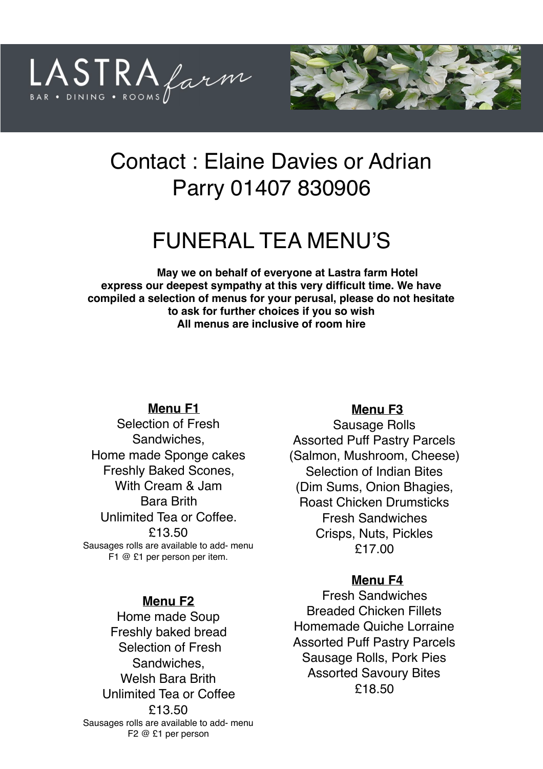



# Contact : Elaine Davies or Adrian Parry 01407 830906

# FUNERAL TEA MENU'S

**May we on behalf of everyone at Lastra farm Hotel express our deepest sympathy at this very difficult time. We have compiled a selection of menus for your perusal, please do not hesitate to ask for further choices if you so wish All menus are inclusive of room hire** 

#### **Menu F1**

Selection of Fresh Sandwiches, Home made Sponge cakes Freshly Baked Scones, With Cream & Jam Bara Brith Unlimited Tea or Coffee. £13.50 Sausages rolls are available to add- menu F1 @ £1 per person per item.

#### **Menu F2**

Home made Soup Freshly baked bread Selection of Fresh Sandwiches, Welsh Bara Brith Unlimited Tea or Coffee £13.50 Sausages rolls are available to add- menu F2 @ £1 per person

#### **Menu F3**

Sausage Rolls Assorted Puff Pastry Parcels (Salmon, Mushroom, Cheese) Selection of Indian Bites (Dim Sums, Onion Bhagies, Roast Chicken Drumsticks Fresh Sandwiches Crisps, Nuts, Pickles £17.00

#### **Menu F4**

Fresh Sandwiches Breaded Chicken Fillets Homemade Quiche Lorraine Assorted Puff Pastry Parcels Sausage Rolls, Pork Pies Assorted Savoury Bites £18.50